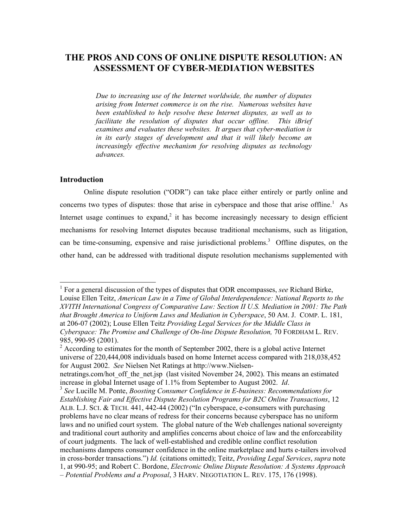# **THE PROS AND CONS OF ONLINE DISPUTE RESOLUTION: AN ASSESSMENT OF CYBER-MEDIATION WEBSITES**

*Due to increasing use of the Internet worldwide, the number of disputes arising from Internet commerce is on the rise. Numerous websites have been established to help resolve these Internet disputes, as well as to facilitate the resolution of disputes that occur offline. This iBrief examines and evaluates these websites. It argues that cyber-mediation is in its early stages of development and that it will likely become an increasingly effective mechanism for resolving disputes as technology advances.* 

### **Introduction**

 $\overline{\phantom{a}}$ 

Online dispute resolution ("ODR") can take place either entirely or partly online and concernstwo types of disputes: those that arise in cyberspace and those that arise offline.<sup>1</sup> As Internet usage continues to expand,<sup>[2](#page-0-1)</sup> it has become increasingly necessary to design efficient mechanisms for resolving Internet disputes because traditional mechanisms, such as litigation, can be time-consuming, expensive and raise jurisdictional problems. $3$  Offline disputes, on the other hand, can be addressed with traditional dispute resolution mechanisms supplemented with

<span id="page-0-0"></span><sup>&</sup>lt;sup>1</sup> For a general discussion of the types of disputes that ODR encompasses, *see* Richard Birke, Louise Ellen Teitz, *American Law in a Time of Global Interdependence: National Reports to the XVITH International Congress of Comparative Law: Section II U.S. Mediation in 2001: The Path that Brought America to Uniform Laws and Mediation in Cyberspace*, 50 AM. J. COMP. L. 181, at 206-07 (2002); Louse Ellen Teitz *Providing Legal Services for the Middle Class in Cyberspace: The Promise and Challenge of On-line Dispute Resolution,* 70 FORDHAM L. REV. 985, 990-95 (2001).

<span id="page-0-1"></span> $2$  According to estimates for the month of September 2002, there is a global active Internet universe of 220,444,008 individuals based on home Internet access compared with 218,038,452 for August 2002. *See* Nielsen Net Ratings at http://www.Nielsen-

netratings.com/hot\_off\_the\_net.jsp (last visited November 24, 2002). This means an estimated increase in global Internet usage of 1.1% from September to August 2002. *Id*.

<span id="page-0-2"></span><sup>&</sup>lt;sup>3</sup> See Lucille M. Ponte, *Boosting Consumer Confidence in E-business: Recommendations for Establishing Fair and Effective Dispute Resolution Programs for B2C Online Transactions*, 12 ALB. L.J. SCI. & TECH. 441, 442-44 (2002) ("In cyberspace, e-consumers with purchasing problems have no clear means of redress for their concerns because cyberspace has no uniform laws and no unified court system. The global nature of the Web challenges national sovereignty and traditional court authority and amplifies concerns about choice of law and the enforceability of court judgments. The lack of well-established and credible online conflict resolution mechanisms dampens consumer confidence in the online marketplace and hurts e-tailers involved in cross-border transactions.") *Id.* (citations omitted); Teitz, *Providing Legal Services*, *supra* note 1, at 990-95; and Robert C. Bordone, *Electronic Online Dispute Resolution: A Systems Approach – Potential Problems and a Proposal*, 3 HARV. NEGOTIATION L. REV. 175, 176 (1998).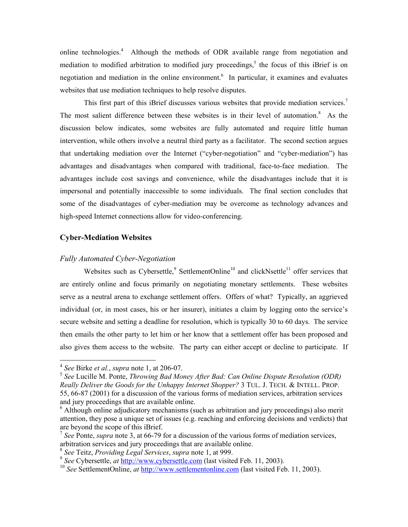online technologies.<sup>[4](#page-1-0)</sup> Although the methods of ODR available range from negotiation and mediation to modified arbitration to modified jury proceedings,<sup>5</sup> the focus of this iBrief is on negotiation and mediation in the online environment.<sup>[6](#page-1-2)</sup> In particular, it examines and evaluates websites that use mediation techniques to help resolve disputes.

This first part of this iBrief discusses various websites that provide mediation services.<sup>[7](#page-1-3)</sup> The most salient difference between these websites is in their level of automation.<sup>[8](#page-1-4)</sup> As the discussion below indicates, some websites are fully automated and require little human intervention, while others involve a neutral third party as a facilitator. The second section argues that undertaking mediation over the Internet ("cyber-negotiation" and "cyber-mediation") has advantages and disadvantages when compared with traditional, face-to-face mediation. The advantages include cost savings and convenience, while the disadvantages include that it is impersonal and potentially inaccessible to some individuals. The final section concludes that some of the disadvantages of cyber-mediation may be overcome as technology advances and high-speed Internet connections allow for video-conferencing.

### **Cyber-Mediation Websites**

#### *Fully Automated Cyber-Negotiation*

Websitessuch as Cybersettle,  $9$  SettlementOnline<sup>10</sup> and clickNsettle<sup>11</sup> offer services that are entirely online and focus primarily on negotiating monetary settlements. These websites serve as a neutral arena to exchange settlement offers. Offers of what? Typically, an aggrieved individual (or, in most cases, his or her insurer), initiates a claim by logging onto the service's secure website and setting a deadline for resolution, which is typically 30 to 60 days. The service then emails the other party to let him or her know that a settlement offer has been proposed and also gives them access to the website. The party can either accept or decline to participate. If

<span id="page-1-7"></span><span id="page-1-0"></span><sup>4</sup> *See* Birke *et al.*, *supra* note 1, at 206-07.

<span id="page-1-1"></span><sup>5</sup> *See* Lucille M. Ponte, *Throwing Bad Money After Bad: Can Online Dispute Resolution (ODR) Really Deliver the Goods for the Unhappy Internet Shopper?* 3 TUL. J. TECH. & INTELL. PROP. 55, 66-87 (2001) for a discussion of the various forms of mediation services, arbitration services and jury proceedings that are available online.

<span id="page-1-2"></span><sup>&</sup>lt;sup>6</sup> Although online adjudicatory mechanisms (such as arbitration and jury proceedings) also merit attention, they pose a unique set of issues (e.g. reaching and enforcing decisions and verdicts) that are beyond the scope of this iBrief.

<span id="page-1-3"></span><sup>7</sup> *See* Ponte, *supra* note 3, at 66-79 for a discussion of the various forms of mediation services, arbitration services and jury proceedings that are available online.

<span id="page-1-4"></span><sup>8</sup> *See* Teitz, *Providing Legal Services*, *supra* note 1, at 999.

<span id="page-1-5"></span><sup>9</sup> *See* Cybersettle, *at* [http://www.cybersettle.com](http://www.cybersettle.com/) (last visited Feb. 11, 2003).

<span id="page-1-6"></span><sup>&</sup>lt;sup>10</sup> *See* SettlementOnline, *at* [http://www.settlementonline.com](http://www.settlementonline.com/) (last visited Feb. 11, 2003).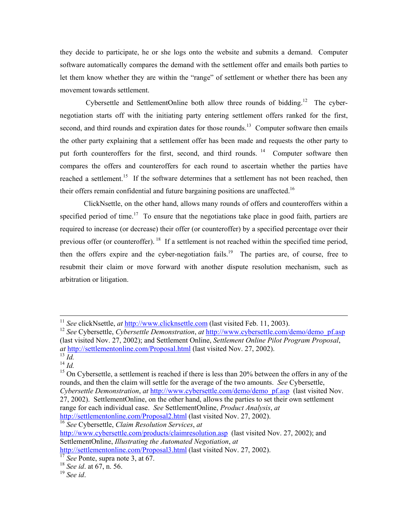they decide to participate, he or she logs onto the website and submits a demand. Computer software automatically compares the demand with the settlement offer and emails both parties to let them know whether they are within the "range" of settlement or whether there has been any movement towards settlement.

Cybersettle and SettlementOnline both allow three rounds of bidding.<sup>12</sup> The cybernegotiation starts off with the initiating party entering settlement offers ranked for the first, second, and third rounds and expiration dates for those rounds.<sup>13</sup> Computer software then emails the other party explaining that a settlement offer has been made and requests the other party to put forth counteroffers for the first, second, and third rounds. <sup>14</sup> Computer software then compares the offers and counteroffers for each round to ascertain whether the parties have reached a settlement.<sup>15</sup> If the software determines that a settlement has not been reached, then their offers remain confidential and future bargaining positions are unaffected.<sup>16</sup>

ClickNsettle, on the other hand, allows many rounds of offers and counteroffers within a specified period of time.<sup>17</sup> To ensure that the negotiations take place in good faith, partiers are required to increase (or decrease) their offer (or counteroffer) by a specified percentage over their previous offer (or counteroffer). <sup>18</sup> If a settlement is not reached within the specified time period, then the offers expire and the cyber-negotiation fails.<sup>19</sup> The parties are, of course, free to resubmit their claim or move forward with another dispute resolution mechanism, such as arbitration or litigation.

 $\overline{\phantom{a}}$ 

<http://settlementonline.com/Proposal2.html>(last visited Nov. 27, 2002).

<span id="page-2-4"></span><sup>16</sup> *See* Cybersettle, *Claim Resolution Services*, *at* 

<http://www.cybersettle.com/products/claimresolution.asp>(last visited Nov. 27, 2002); and SettlementOnline, *Illustrating the Automated Negotiation*, *at* 

<sup>&</sup>lt;sup>11</sup> *See* clickNsettle, *at* [http://www.clicknsettle.com](http://www.clicknsettle.com/) (last visited Feb. 11, 2003).

<span id="page-2-0"></span><sup>&</sup>lt;sup>12</sup> See Cybersettle, *Cybersettle Demonstration*, *at* [http://www.cybersettle.com/demo/demo\\_pf.asp](http://www.cybersettle.com/demo/demo_pf.asp) (last visited Nov. 27, 2002); and Settlement Online, *Settlement Online Pilot Program Proposal*, *at* <http://settlementonline.com/Proposal.html> (last visited Nov. 27, 2002).

<span id="page-2-1"></span> $\overline{13}$   $\overline{Id}$ .  $^{14}$  *Id.* 

<span id="page-2-3"></span><span id="page-2-2"></span><sup>&</sup>lt;sup>15</sup> On Cybersettle, a settlement is reached if there is less than 20% between the offers in any of the rounds, and then the claim will settle for the average of the two amounts. *See* Cybersettle, *Cybersettle Demonstration*, *at* [http://www.cybersettle.com/demo/demo\\_pf.asp](http://www.cybersettle.com/demo/demo_pf.asp) (last visited Nov. 27, 2002). SettlementOnline, on the other hand, allows the parties to set their own settlement range for each individual case. *See* SettlementOnline, *Product Analysis*, *at* 

<http://settlementonline.com/Proposal3.html>(last visited Nov. 27, 2002).

<span id="page-2-5"></span><sup>&</sup>lt;sup>17</sup> *See* Ponte, supra note 3, at 67.

<span id="page-2-6"></span><sup>18</sup> *See id*. at 67, n. 56.

<span id="page-2-7"></span><sup>19</sup> *See id*.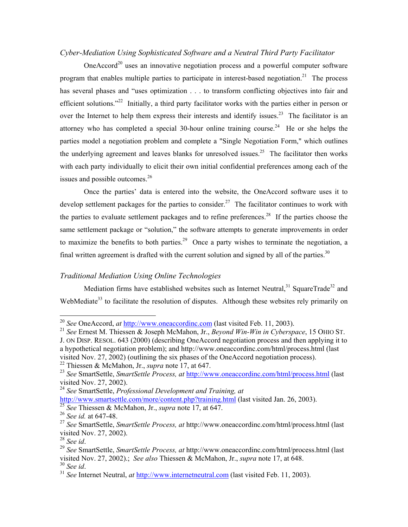# *Cyber-Mediation Using Sophisticated Software and a Neutral Third Party Facilitator*

One $Accord^{20}$  uses an innovative negotiation process and a powerful computer software program that enables multiple parties to participate in interest-based negotiation.<sup>21</sup> The process has several phases and "uses optimization . . . to transform conflicting objectives into fair and efficient solutions."<sup>22</sup> Initially, a third party facilitator works with the parties either in person or over the Internet to help them express their interests and identify issues.<sup>23</sup> The facilitator is an attorney who has completed a special 30-hour online training course.<sup>24</sup> He or she helps the parties model a negotiation problem and complete a "Single Negotiation Form," which outlines the underlying agreement and leaves blanks for unresolved issues.<sup>25</sup> The facilitator then works with each party individually to elicit their own initial confidential preferences among each of the issues and possible outcomes.<sup>26</sup>

Once the parties' data is entered into the website, the OneAccord software uses it to develop settlement packages for the parties to consider.<sup>27</sup> The facilitator continues to work with the parties to evaluate settlement packages and to refine preferences.<sup>28</sup> If the parties choose the same settlement package or "solution," the software attempts to generate improvements in order to maximize the benefits to both parties.<sup>29</sup> Once a party wishes to terminate the negotiation, a final written agreement is drafted with the current solution and signed by all of the parties.<sup>[30](#page-3-10)</sup>

### *Traditional Mediation Using Online Technologies*

Mediation firms have established websites such as Internet Neutral,  $31$  SquareTrade<sup>32</sup> and WebMediate<sup>33</sup> to facilitate the resolution of disputes. Although these websites rely primarily on

visited Nov. 27, 2002) (outlining the six phases of the OneAccord negotiation process).

<span id="page-3-2"></span>22 Thiessen & McMahon, Jr., *supra* note 17, at 647.

 $\overline{\phantom{a}}$ 

<span id="page-3-10"></span>

<span id="page-3-0"></span><sup>20</sup> *See* OneAccord, *at* [http://www.oneaccordinc.com](http://www.oneaccordinc.com/) (last visited Feb. 11, 2003).

<span id="page-3-1"></span><sup>21</sup> *See* Ernest M. Thiessen & Joseph McMahon, Jr., *Beyond Win-Win in Cyberspace*, 15 OHIO ST.

J. ON DISP. RESOL. 643 (2000) (describing OneAccord negotiation process and then applying it to a hypothetical negotiation problem); and http://www.oneaccordinc.com/html/process.html (last

<span id="page-3-3"></span><sup>23</sup> *See* SmartSettle, *SmartSettle Process, at* <http://www.oneaccordinc.com/html/process.html>(last visited Nov. 27, 2002).

<span id="page-3-4"></span><sup>24</sup> *See* SmartSettle, *Professional Development and Training, at* 

<http://www.smartsettle.com/more/content.php?training.html> (last visited Jan. 26, 2003).

<span id="page-3-5"></span><sup>25</sup> *See* Thiessen & McMahon, Jr., *supra* note 17, at 647.

<span id="page-3-6"></span><sup>26</sup> *See id.* at 647-48.

<span id="page-3-7"></span><sup>27</sup> *See* SmartSettle, *SmartSettle Process, at* http://www.oneaccordinc.com/html/process.html (last visited Nov. 27, 2002).<br><sup>28</sup> See id.

<span id="page-3-8"></span>

<span id="page-3-9"></span><sup>&</sup>lt;sup>29</sup> See SmartSettle, *SmartSettle Process, at* http://www.oneaccordinc.com/html/process.html (last visited Nov. 27, 2002).; *See also* Thiessen & McMahon, Jr., *supra* note 17, at 648.

<span id="page-3-11"></span> $31$  *See* Internet Neutral, *at* [http://www.internetneutral.com](http://www.internetneutral.com/) (last visited Feb. 11, 2003).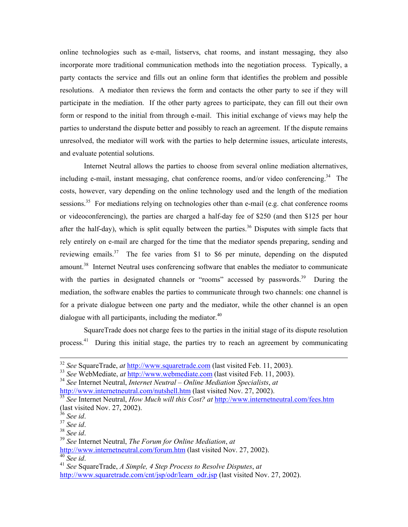online technologies such as e-mail, listservs, chat rooms, and instant messaging, they also incorporate more traditional communication methods into the negotiation process. Typically, a party contacts the service and fills out an online form that identifies the problem and possible resolutions. A mediator then reviews the form and contacts the other party to see if they will participate in the mediation. If the other party agrees to participate, they can fill out their own form or respond to the initial from through e-mail. This initial exchange of views may help the parties to understand the dispute better and possibly to reach an agreement. If the dispute remains unresolved, the mediator will work with the parties to help determine issues, articulate interests, and evaluate potential solutions.

Internet Neutral allows the parties to choose from several online mediation alternatives, including e-mail, instant messaging, chat conference rooms, and/or video conferencing.<sup>34</sup> The costs, however, vary depending on the online technology used and the length of the mediation sessions.<sup>35</sup> For mediations relying on technologies other than e-mail (e.g. chat conference rooms or videoconferencing), the parties are charged a half-day fee of \$250 (and then \$125 per hour after the half-day), which is split equally between the parties.<sup>36</sup> Disputes with simple facts that rely entirely on e-mail are charged for the time that the mediator spends preparing, sending and reviewing emails. $37$  The fee varies from \$1 to \$6 per minute, depending on the disputed amount.<sup>38</sup> Internet Neutral uses conferencing software that enables the mediator to communicate with the parties in designated channels or "rooms" accessed by passwords.<sup>39</sup> During the mediation, the software enables the parties to communicate through two channels: one channel is for a private dialogue between one party and the mediator, while the other channel is an open dialogue with all participants, including the mediator. $40$ 

SquareTrade does not charge fees to the parties in the initial stage of its dispute resolution process.<sup>41</sup> During this initial stage, the parties try to reach an agreement by communicating

<sup>32</sup> *See* SquareTrade, *at* [http://www.squaretrade.com](http://www.squaretrade.com/) (last visited Feb. 11, 2003).

<sup>33</sup> *See* WebMediate, *at* [http://www.webmediate.com](http://www.webmediate.com/) (last visited Feb. 11, 2003).

<span id="page-4-0"></span><sup>34</sup> *See* Internet Neutral, *Internet Neutral – Online Mediation Specialists*, *at*  <http://www.internetneutral.com/nutshell.htm> (last visited Nov. 27, 2002).

<span id="page-4-1"></span><sup>35</sup> *See* Internet Neutral, *How Much will this Cost? at* <http://www.internetneutral.com/fees.htm> (last visited Nov. 27, 2002).<br> $36$  See id.

<span id="page-4-2"></span>

<span id="page-4-5"></span><span id="page-4-4"></span>

<span id="page-4-3"></span><sup>36</sup> *See id*. 37 *See id*. 38 *See id*. 39 *See* Internet Neutral, *The Forum for Online Mediation*, *at*

<span id="page-4-6"></span><http://www.internetneutral.com/forum.htm> (last visited Nov. 27, 2002).<br><sup>40</sup> See id.

<span id="page-4-7"></span><sup>&</sup>lt;sup>41</sup> *See* SquareTrade, *A Simple, 4 Step Process to Resolve Disputes, at* [http://www.squaretrade.com/cnt/jsp/odr/learn\\_odr.jsp](http://www.squaretrade.com/cnt/jsp/odr/learn_odr.jsp) (last visited Nov. 27, 2002).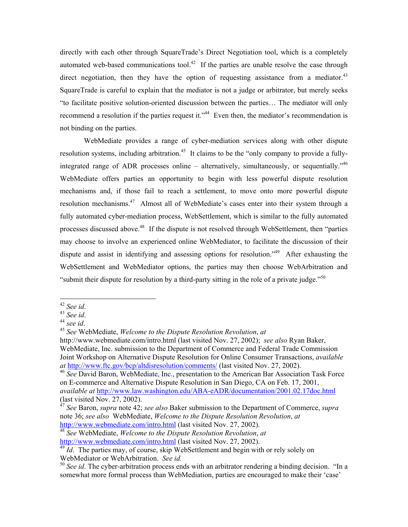<span id="page-5-8"></span>directly with each other through SquareTrade's Direct Negotiation tool, which is a completely automated web-based communications tool.<sup>42</sup> If the parties are unable resolve the case through direct negotiation, then they have the option of requesting assistance from a mediator.<sup>43</sup> SquareTrade is careful to explain that the mediator is not a judge or arbitrator, but merely seeks "to facilitate positive solution-oriented discussion between the parties… The mediator will only recommend a resolution if the parties request it."<sup>44</sup> Even then, the mediator's recommendation is not binding on the parties.

WebMediate provides a range of cyber-mediation services along with other dispute resolution systems, including arbitration.<sup>45</sup> It claims to be the "only company to provide a fully-integrated range of ADR processes online – alternatively, simultaneously, or sequentially."<sup>[46](#page-5-4)</sup> WebMediate offers parties an opportunity to begin with less powerful dispute resolution mechanisms and, if those fail to reach a settlement, to move onto more powerful dispute resolution mechanisms.<sup>47</sup> Almost all of WebMediate's cases enter into their system through a fully automated cyber-mediation process, WebSettlement, which is similar to the fully automated processes discussed above.<sup>48</sup> If the dispute is not resolved through WebSettlement, then "parties" may choose to involve an experienced online WebMediator, to facilitate the discussion of their dispute and assist in identifying and assessing options for resolution.<sup>49</sup> After exhausting the WebSettlement and WebMediator options, the parties may then choose WebArbitration and "submit their dispute for resolution by a third-party sitting in the role of a private judge."<sup>50</sup>

<span id="page-5-0"></span> $42$  See id.

<span id="page-5-1"></span>

<span id="page-5-3"></span><span id="page-5-2"></span>

<sup>42</sup> *See id*. 43 *See id*. 44 *see id*. 45 *See* WebMediate, *Welcome to the Dispute Resolution Revolution*, *at* 

http://www.webmediate.com/intro.html (last visited Nov. 27, 2002); *see also* Ryan Baker, WebMediate, Inc. submission to the Department of Commerce and Federal Trade Commission Joint Workshop on Alternative Dispute Resolution for Online Consumer Transactions, *available at* <http://www.ftc.gov/bcp/altdisresolution/comments/> (last visited Nov. 27, 2002).

<span id="page-5-4"></span><sup>46</sup> *See* David Baron, WebMediate, Inc., presentation to the American Bar Association Task Force on E-commerce and Alternative Dispute Resolution in San Diego, CA on Feb. 17, 2001, *available at* <http://www.law.washington.edu/ABA-eADR/documentation/2001.02.17doc.html> (last visited Nov. 27, 2002).

<span id="page-5-5"></span><sup>47</sup> *See* Baron, *supra* note 42; *see also* Baker submission to the Department of Commerce, *supra* note 36; *see also* WebMediate, *Welcome to the Dispute Resolution Revolution*, *at* <http://www.webmediate.com/intro.html> (last visited Nov. 27, 2002).

<span id="page-5-6"></span><sup>48</sup> *See* WebMediate, *Welcome to the Dispute Resolution Revolution*, *at*  <http://www.webmediate.com/intro.html> (last visited Nov. 27, 2002).

<span id="page-5-7"></span><sup>&</sup>lt;sup>49</sup> *Id.* The parties may, of course, skip WebSettlement and begin with or rely solely on WebMediator or WebArbitration. *See id.*

<sup>&</sup>lt;sup>50</sup> See id. The cyber-arbitration process ends with an arbitrator rendering a binding decision. "In a somewhat more formal process than WebMediation, parties are encouraged to make their 'case'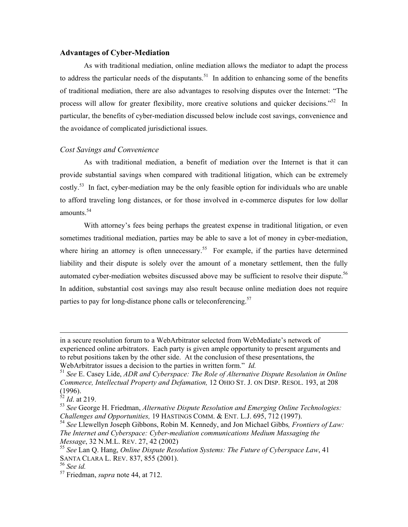### **Advantages of Cyber-Mediation**

As with traditional mediation, online mediation allows the mediator to adapt the process to address the particular needs of the disputants.<sup>51</sup> In addition to enhancing some of the benefits of traditional mediation, there are also advantages to resolving disputes over the Internet: "The process will allow for greater flexibility, more creative solutions and quicker decisions."<sup>52</sup> In particular, the benefits of cyber-mediation discussed below include cost savings, convenience and the avoidance of complicated jurisdictional issues.

### *Cost Savings and Convenience*

As with traditional mediation, a benefit of mediation over the Internet is that it can provide substantial savings when compared with traditional litigation, which can be extremely  $costlv<sub>1</sub>$ <sup>53</sup> In fact, cyber-mediation may be the only feasible option for individuals who are unable to afford traveling long distances, or for those involved in e-commerce disputes for low dollar amounts.[54](#page-6-3)

With attorney's fees being perhaps the greatest expense in traditional litigation, or even sometimes traditional mediation, parties may be able to save a lot of money in cyber-mediation, where hiring an attorney is often unnecessary.<sup>55</sup> For example, if the parties have determined liability and their dispute is solely over the amount of a monetary settlement, then the fully automated cyber-mediation websites discussed above may be sufficient to resolve their dispute.<sup>56</sup> In addition, substantial cost savings may also result because online mediation does not require parties to pay for long-distance phone calls or teleconferencing.<sup>[57](#page-6-6)</sup>

in a secure resolution forum to a WebArbitrator selected from WebMediate's network of experienced online arbitrators. Each party is given ample opportunity to present arguments and to rebut positions taken by the other side. At the conclusion of these presentations, the WebArbitrator issues a decision to the parties in written form." *Id.* 

<span id="page-6-0"></span><sup>51</sup> *See* E. Casey Lide, *ADR and Cyberspace: The Role of Alternative Dispute Resolution in Online Commerce, Intellectual Property and Defamation,* 12 OHIO ST. J. ON DISP. RESOL. 193, at 208 (1996).

<span id="page-6-1"></span><sup>52</sup> *Id*. at 219.

<span id="page-6-2"></span><sup>53</sup> *See* George H. Friedman, *Alternative Dispute Resolution and Emerging Online Technologies: Challenges and Opportunities,* 19 HASTINGS COMM. & ENT. L.J. 695, 712 (1997).

<span id="page-6-3"></span><sup>54</sup> *See* Llewellyn Joseph Gibbons, Robin M. Kennedy, and Jon Michael Gibbs*, Frontiers of Law: The Internet and Cyberspace: Cyber-mediation communications Medium Massaging the Message*, 32 N.M.L. REV. 27, 42 (2002)

<span id="page-6-4"></span><sup>55</sup> *See* Lan Q. Hang, *Online Dispute Resolution Systems: The Future of Cyberspace Law*, 41 SANTA CLARA L. REV. 837, 855 (2001).

<span id="page-6-5"></span><sup>56</sup> *See id.*

<span id="page-6-6"></span><sup>57</sup> Friedman, *supra* note 44, at 712.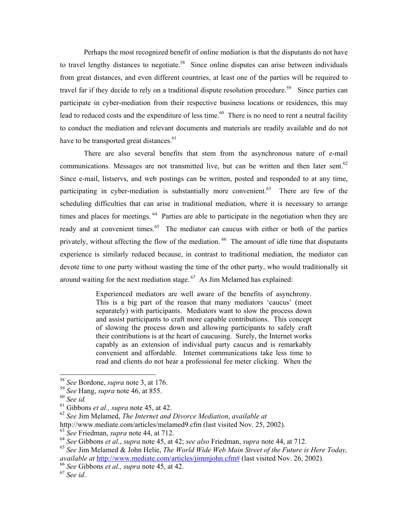Perhaps the most recognized benefit of online mediation is that the disputants do not have to travel lengthy distances to negotiate.<sup>58</sup> Since online disputes can arise between individuals from great distances, and even different countries, at least one of the parties will be required to travel far if they decide to rely on a traditional dispute resolution procedure.<sup>59</sup> Since parties can participate in cyber-mediation from their respective business locations or residences, this may lead to reduced costs and the expenditure of less time.<sup>60</sup> There is no need to rent a neutral facility to conduct the mediation and relevant documents and materials are readily available and do not have to be transported great distances.<sup>61</sup>

There are also several benefits that stem from the asynchronous nature of e-mail communications. Messages are not transmitted live, but can be written and then later sent.<sup>62</sup> Since e-mail, listservs, and web postings can be written, posted and responded to at any time, participating in cyber-mediation is substantially more convenient.<sup>63</sup> There are few of the scheduling difficulties that can arise in traditional mediation, where it is necessary to arrange times and places for meetings.  $64$  Parties are able to participate in the negotiation when they are ready and at convenient times.<sup>65</sup> The mediator can caucus with either or both of the parties privately, without affecting the flow of the mediation. <sup>66</sup> The amount of idle time that disputants experience is similarly reduced because, in contrast to traditional mediation, the mediator can devote time to one party without wasting the time of the other party, who would traditionally sit around waiting for the next mediation stage.  $67$  As Jim Melamed has explained:

> Experienced mediators are well aware of the benefits of asynchrony. This is a big part of the reason that many mediators 'caucus' (meet separately) with participants. Mediators want to slow the process down and assist participants to craft more capable contributions. This concept of slowing the process down and allowing participants to safely craft their contributions is at the heart of caucusing. Surely, the Internet works capably as an extension of individual party caucus and is remarkably convenient and affordable. Internet communications take less time to read and clients do not hear a professional fee meter clicking. When the

 $\overline{\phantom{a}}$ 

<span id="page-7-4"></span><sup>62</sup> *See* Jim Melamed, *The Internet and Divorce Mediation*, *available at*

<span id="page-7-0"></span><sup>58</sup> *See* Bordone, *supra* note 3, at 176.

<span id="page-7-1"></span><sup>59</sup> *See* Hang, *supra* note 46, at 855.

<span id="page-7-2"></span><sup>60</sup> *See id.*

<span id="page-7-3"></span><sup>61</sup> Gibbons *et al., supra* note 45, at 42.

http://www.mediate.com/articles/melamed9.cfm (last visited Nov. 25, 2002).

<span id="page-7-5"></span><sup>63</sup> *See* Friedman, *supra* note 44, at 712.

<span id="page-7-6"></span><sup>64</sup> *See* Gibbons *et al*., *supra* note 45, at 42; *see also* Friedman, *supra* note 44, at 712.

<span id="page-7-7"></span><sup>65</sup> *See* Jim Melamed & John Helie, *The World Wide Web Main Street of the Future is Here Today, available at* [http://www.mediate.com/articles/jimmjohn.cfm#](http://www.mediate.com/articles/jimmjohn.cfm) (last visited Nov. 26, 2002).

<span id="page-7-8"></span><sup>66</sup> *See* Gibbons *et al., supra* note 45, at 42.

<span id="page-7-9"></span><sup>67</sup> *See id*.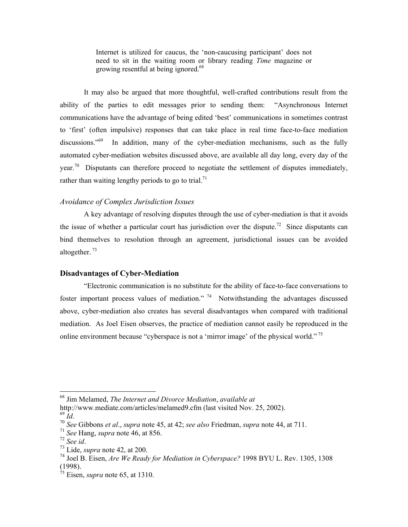Internet is utilized for caucus, the 'non-caucusing participant' does not need to sit in the waiting room or library reading *Time* magazine or growing resentful at being ignored.<sup>68</sup>

It may also be argued that more thoughtful, well-crafted contributions result from the ability of the parties to edit messages prior to sending them: "Asynchronous Internet communications have the advantage of being edited 'best' communications in sometimes contrast to 'first' (often impulsive) responses that can take place in real time face-to-face mediation discussions."<sup>69</sup> In addition, many of the cyber-mediation mechanisms, such as the fully automated cyber-mediation websites discussed above, are available all day long, every day of the year.<sup>70</sup> Disputants can therefore proceed to negotiate the settlement of disputes immediately, rather than waiting lengthy periods to go to trial.<sup>71</sup>

# *Avoidance of Complex Jurisdiction Issues*

A key advantage of resolving disputes through the use of cyber-mediation is that it avoids the issue of whether a particular court has jurisdiction over the dispute.<sup>72</sup> Since disputants can bind themselves to resolution through an agreement, jurisdictional issues can be avoided altogether. [73](#page-8-5)

#### **Disadvantages of Cyber-Mediation**

"Electronic communication is no substitute for the ability of face-to-face conversations to foster important process values of mediation." <sup>74</sup> Notwithstanding the advantages discussed above, cyber-mediation also creates has several disadvantages when compared with traditional mediation. As Joel Eisen observes, the practice of mediation cannot easily be reproduced in the online environment because "cyberspace is not a 'mirror image' of the physical world." [75](#page-8-7) 

<span id="page-8-0"></span><sup>68</sup> Jim Melamed, *The Internet and Divorce Mediation*, *available at*

http://www.mediate.com/articles/melamed9.cfm (last visited Nov. 25, 2002).

<span id="page-8-2"></span><span id="page-8-1"></span>

<sup>69</sup> *Id*. 70 *See* Gibbons *et al*., *supra* note 45, at 42; *see also* Friedman, *supra* note 44, at 711.

<span id="page-8-3"></span> $\frac{71}{72}$  *See* Hang, *supra* note 46, at 856.<br> $\frac{72}{72}$  *See id.* 

<span id="page-8-4"></span>

<span id="page-8-5"></span><sup>72</sup> *See id*. 73 Lide, *supra* note 42, at 200.

<span id="page-8-6"></span><sup>74</sup> Joel B. Eisen, *Are We Ready for Mediation in Cyberspace?* 1998 BYU L. Rev. 1305, 1308 (1998).

<span id="page-8-7"></span><sup>75</sup> Eisen, *supra* note 65, at 1310.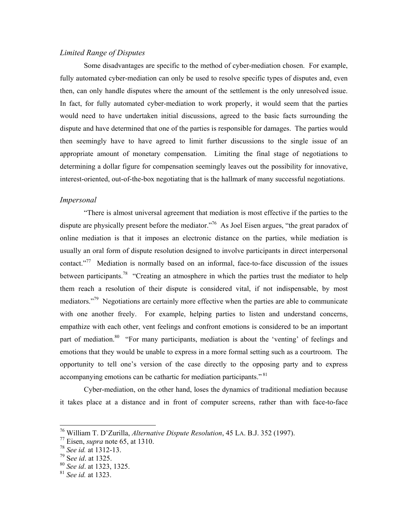### *Limited Range of Disputes*

Some disadvantages are specific to the method of cyber-mediation chosen. For example, fully automated cyber-mediation can only be used to resolve specific types of disputes and, even then, can only handle disputes where the amount of the settlement is the only unresolved issue. In fact, for fully automated cyber-mediation to work properly, it would seem that the parties would need to have undertaken initial discussions, agreed to the basic facts surrounding the dispute and have determined that one of the parties is responsible for damages. The parties would then seemingly have to have agreed to limit further discussions to the single issue of an appropriate amount of monetary compensation. Limiting the final stage of negotiations to determining a dollar figure for compensation seemingly leaves out the possibility for innovative, interest-oriented, out-of-the-box negotiating that is the hallmark of many successful negotiations.

#### *Impersonal*

"There is almost universal agreement that mediation is most effective if the parties to the dispute are physically present before the mediator.<sup>776</sup> As Joel Eisen argues, "the great paradox of online mediation is that it imposes an electronic distance on the parties, while mediation is usually an oral form of dispute resolution designed to involve participants in direct interpersonal contact."[77](#page-9-1) Mediation is normally based on an informal, face-to-face discussion of the issues between participants.<sup>78</sup> "Creating an atmosphere in which the parties trust the mediator to help them reach a resolution of their dispute is considered vital, if not indispensable, by most mediators."<sup>79</sup> Negotiations are certainly more effective when the parties are able to communicate with one another freely. For example, helping parties to listen and understand concerns, empathize with each other, vent feelings and confront emotions is considered to be an important part of mediation.<sup>80</sup> "For many participants, mediation is about the 'venting' of feelings and emotions that they would be unable to express in a more formal setting such as a courtroom. The opportunity to tell one's version of the case directly to the opposing party and to express accompanying emotions can be cathartic for mediation participants." [81](#page-9-5) 

Cyber-mediation, on the other hand, loses the dynamics of traditional mediation because it takes place at a distance and in front of computer screens, rather than with face-to-face

<span id="page-9-0"></span><sup>76</sup> William T. D'Zurilla, *Alternative Dispute Resolution*, 45 LA. B.J. 352 (1997).

<span id="page-9-1"></span><sup>77</sup> Eisen, *supra* note 65, at 1310.

<span id="page-9-2"></span><sup>78</sup> *See id.* at 1312-13.

<span id="page-9-3"></span><sup>79</sup> S*ee id*. at 1325.

<span id="page-9-4"></span><sup>80</sup> *See id*. at 1323, 1325.

<span id="page-9-5"></span><sup>81</sup> *See id.* at 1323.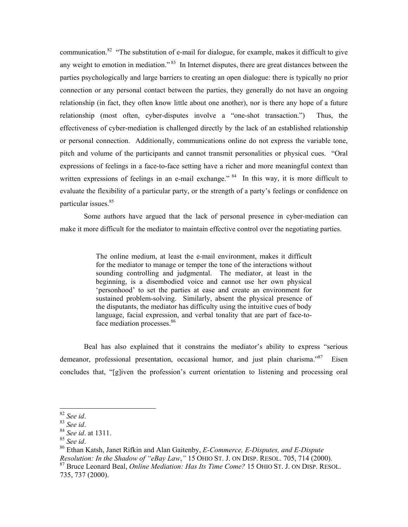communication.<sup>82</sup> "The substitution of e-mail for dialogue, for example, makes it difficult to give any weight to emotion in mediation."<sup>83</sup> In Internet disputes, there are great distances between the parties psychologically and large barriers to creating an open dialogue: there is typically no prior connection or any personal contact between the parties, they generally do not have an ongoing relationship (in fact, they often know little about one another), nor is there any hope of a future relationship (most often, cyber-disputes involve a "one-shot transaction.") Thus, the effectiveness of cyber-mediation is challenged directly by the lack of an established relationship or personal connection. Additionally, communications online do not express the variable tone, pitch and volume of the participants and cannot transmit personalities or physical cues. "Oral expressions of feelings in a face-to-face setting have a richer and more meaningful context than written expressions of feelings in an e-mail exchange."<sup>84</sup> In this way, it is more difficult to evaluate the flexibility of a particular party, or the strength of a party's feelings or confidence on particular issues.<sup>[85](#page-10-3)</sup>

Some authors have argued that the lack of personal presence in cyber-mediation can make it more difficult for the mediator to maintain effective control over the negotiating parties.

> The online medium, at least the e-mail environment, makes it difficult for the mediator to manage or temper the tone of the interactions without sounding controlling and judgmental. The mediator, at least in the beginning, is a disembodied voice and cannot use her own physical 'personhood' to set the parties at ease and create an environment for sustained problem-solving. Similarly, absent the physical presence of the disputants, the mediator has difficulty using the intuitive cues of body language, facial expression, and verbal tonality that are part of face-toface mediation processes.<sup>86</sup>

Beal has also explained that it constrains the mediator's ability to express "serious demeanor, professional presentation, occasional humor, and just plain charisma."<sup>87</sup> Eisen concludes that, "[g]iven the profession's current orientation to listening and processing oral

<span id="page-10-0"></span> $82$  See id.

<span id="page-10-2"></span><span id="page-10-1"></span>

<sup>82</sup> *See id*. 83 *See id*. 84 *See id*. at 1311.

<span id="page-10-3"></span>

<span id="page-10-4"></span><sup>85</sup> *See id*. 86 Ethan Katsh, Janet Rifkin and Alan Gaitenby, *E-Commerce, E-Disputes, and E-Dispute Resolution: In the Shadow of "eBay Law*,*"* 15 OHIO ST. J. ON DISP. RESOL. 705, 714 (2000).

<span id="page-10-5"></span><sup>87</sup> Bruce Leonard Beal, *Online Mediation: Has Its Time Come?* 15 OHIO ST. J. ON DISP. RESOL. 735, 737 (2000).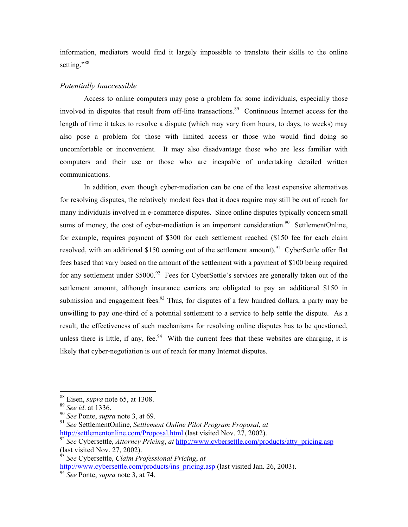information, mediators would find it largely impossible to translate their skills to the online setting."<sup>[88](#page-11-0)</sup>

### *Potentially Inaccessible*

Access to online computers may pose a problem for some individuals, especially those involved in disputes that result from off-line transactions.<sup>89</sup> Continuous Internet access for the length of time it takes to resolve a dispute (which may vary from hours, to days, to weeks) may also pose a problem for those with limited access or those who would find doing so uncomfortable or inconvenient. It may also disadvantage those who are less familiar with computers and their use or those who are incapable of undertaking detailed written communications.

In addition, even though cyber-mediation can be one of the least expensive alternatives for resolving disputes, the relatively modest fees that it does require may still be out of reach for many individuals involved in e-commerce disputes. Since online disputes typically concern small sums of money, the cost of cyber-mediation is an important consideration.<sup>90</sup> SettlementOnline, for example, requires payment of \$300 for each settlement reached (\$150 fee for each claim resolved, with an additional \$150 coming out of the settlement amount).<sup>91</sup> CyberSettle offer flat fees based that vary based on the amount of the settlement with a payment of \$100 being required for any settlement under  $$5000$ .<sup>92</sup> Fees for CyberSettle's services are generally taken out of the settlement amount, although insurance carriers are obligated to pay an additional \$150 in submission and engagement fees.<sup>93</sup> Thus, for disputes of a few hundred dollars, a party may be unwilling to pay one-third of a potential settlement to a service to help settle the dispute.As a result, the effectiveness of such mechanisms for resolving online disputes has to be questioned, unless there is little, if any, fee.<sup>94</sup> With the current fees that these websites are charging, it is likely that cyber-negotiation is out of reach for many Internet disputes.

l

[http://www.cybersettle.com/products/ins\\_pricing.asp](http://www.cybersettle.com/products/ins_pricing.asp) (last visited Jan. 26, 2003).

<span id="page-11-0"></span><sup>88</sup> Eisen, *supra* note 65, at 1308.

<span id="page-11-1"></span><sup>89</sup> *See id*. at 1336.

<span id="page-11-2"></span><sup>90</sup> *See* Ponte, *supra* note 3, at 69.

<span id="page-11-3"></span><sup>91</sup> *See* SettlementOnline, *Settlement Online Pilot Program Proposal*, *at*  <http://settlementonline.com/Proposal.html>(last visited Nov. 27, 2002).

<span id="page-11-4"></span><sup>&</sup>lt;sup>92</sup> See Cybersettle, *Attorney Pricing*, *at* [http://www.cybersettle.com/products/atty\\_pricing.asp](http://www.cybersettle.com/products/atty_pricing.asp) (last visited Nov. 27, 2002).

<span id="page-11-5"></span><sup>93</sup> *See* Cybersettle, *Claim Professional Pricing*, *at* 

<span id="page-11-6"></span><sup>94</sup> *See* Ponte, *supra* note 3, at 74.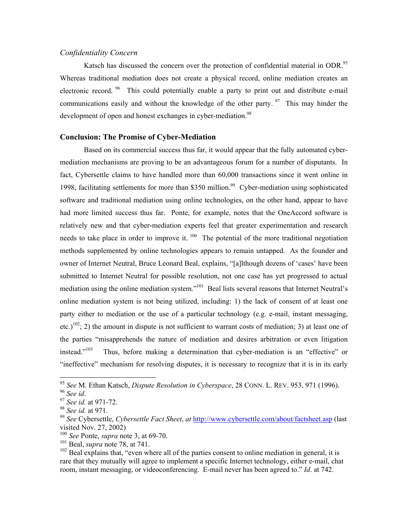### *Confidentiality Concern*

Katsch has discussed the concern over the protection of confidential material in ODR.<sup>95</sup> Whereas traditional mediation does not create a physical record, online mediation creates an electronic record. <sup>96</sup> This could potentially enable a party to print out and distribute e-mail communications easily and without the knowledge of the other party.  $97$  This may hinder the development of open and honest exchanges in cyber-mediation.<sup>98</sup>

### **Conclusion: The Promise of Cyber-Mediation**

Based on its commercial success thus far, it would appear that the fully automated cybermediation mechanisms are proving to be an advantageous forum for a number of disputants. In fact, Cybersettle claims to have handled more than 60,000 transactions since it went online in 1998, facilitating settlements for more than \$350 million.<sup>99</sup> Cyber-mediation using sophisticated software and traditional mediation using online technologies, on the other hand, appear to have had more limited success thus far. Ponte, for example, notes that the OneAccord software is relatively new and that cyber-mediation experts feel that greater experimentation and research needs to take place in order to improve it. <sup>100</sup> The potential of the more traditional negotiation methods supplemented by online technologies appears to remain untapped. As the founder and owner of Internet Neutral, Bruce Leonard Beal, explains, "[a]lthough dozens of 'cases' have been submitted to Internet Neutral for possible resolution, not one case has yet progressed to actual mediation using the online mediation system."<sup>101</sup> Beal lists several reasons that Internet Neutral's online mediation system is not being utilized, including: 1) the lack of consent of at least one party either to mediation or the use of a particular technology (e.g. e-mail, instant messaging, etc.)<sup>102</sup>; 2) the amount in dispute is not sufficient to warrant costs of mediation; 3) at least one of the parties "misapprehends the nature of mediation and desires arbitration or even litigation instead."<sup>103</sup> Thus, before making a determination that cyber-mediation is an "effective" or "ineffective" mechanism for resolving disputes, it is necessary to recognize that it is in its early

-

<span id="page-12-0"></span><sup>95</sup> *See* M. Ethan Katsch, *Dispute Resolution in Cyberspace*, 28 CONN. L. REV. 953, 971 (1996).

<span id="page-12-2"></span><span id="page-12-1"></span>

<sup>96</sup> *See id*. 97 *See id.* at 971-72.

<span id="page-12-3"></span><sup>98</sup> *See id.* at 971.

<span id="page-12-4"></span><sup>99</sup> *See* Cybersettle, *Cybersettle Fact Sheet*, *at* <http://www.cybersettle.com/about/factsheet.asp>(last visited Nov. 27, 2002)

<span id="page-12-8"></span><span id="page-12-5"></span><sup>100</sup> *See* Ponte, *supra* note 3, at 69-70.

<span id="page-12-6"></span><sup>101</sup> Beal, *supra* note 78, at 741.

<span id="page-12-7"></span> $102$  Beal explains that, "even where all of the parties consent to online mediation in general, it is rare that they mutually will agree to implement a specific Internet technology, either e-mail, chat room, instant messaging, or videoconferencing. E-mail never has been agreed to." *Id*. at 742.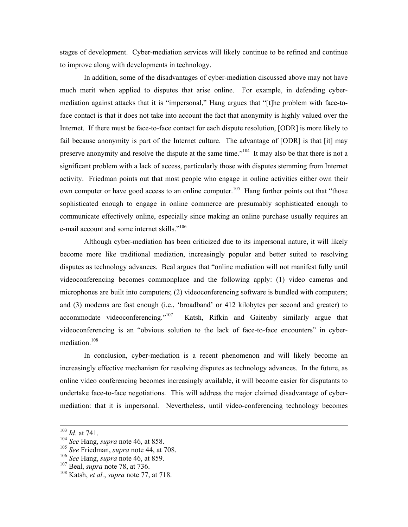stages of development. Cyber-mediation services will likely continue to be refined and continue to improve along with developments in technology.

In addition, some of the disadvantages of cyber-mediation discussed above may not have much merit when applied to disputes that arise online. For example, in defending cybermediation against attacks that it is "impersonal," Hang argues that "[t]he problem with face-toface contact is that it does not take into account the fact that anonymity is highly valued over the Internet. If there must be face-to-face contact for each dispute resolution, [ODR] is more likely to fail because anonymity is part of the Internet culture. The advantage of [ODR] is that [it] may preserve anonymity and resolve the dispute at the same time."<sup>104</sup> It may also be that there is not a significant problem with a lack of access, particularly those with disputes stemming from Internet activity. Friedman points out that most people who engage in online activities either own their own computer or have good access to an online computer.<sup>105</sup> Hang further points out that "those" sophisticated enough to engage in online commerce are presumably sophisticated enough to communicate effectively online, especially since making an online purchase usually requires an e-mail account and some internet skills."<sup>[106](#page-13-2)</sup>

Although cyber-mediation has been criticized due to its impersonal nature, it will likely become more like traditional mediation, increasingly popular and better suited to resolving disputes as technology advances. Beal argues that "online mediation will not manifest fully until videoconferencing becomes commonplace and the following apply: (1) video cameras and microphones are built into computers; (2) videoconferencing software is bundled with computers; and (3) modems are fast enough (i.e., 'broadband' or 412 kilobytes per second and greater) to accommodate videoconferencing."<sup>107</sup> Katsh, Rifkin and Gaitenby similarly argue that videoconferencing is an "obvious solution to the lack of face-to-face encounters" in cybermediation.<sup>108</sup>

In conclusion, cyber-mediation is a recent phenomenon and will likely become an increasingly effective mechanism for resolving disputes as technology advances. In the future, as online video conferencing becomes increasingly available, it will become easier for disputants to undertake face-to-face negotiations. This will address the major claimed disadvantage of cybermediation: that it is impersonal. Nevertheless, until video-conferencing technology becomes

1

<sup>103</sup> *Id*. at 741.

<span id="page-13-0"></span><sup>104</sup> *See* Hang, *supra* note 46, at 858.

<span id="page-13-1"></span><sup>105</sup> *See* Friedman, *supra* note 44, at 708.

<span id="page-13-2"></span><sup>106</sup> *See* Hang, *supra* note 46, at 859.

<span id="page-13-3"></span><sup>107</sup> Beal, *supra* note 78, at 736.

<span id="page-13-4"></span><sup>108</sup> Katsh, *et al.*, *supra* note 77, at 718.